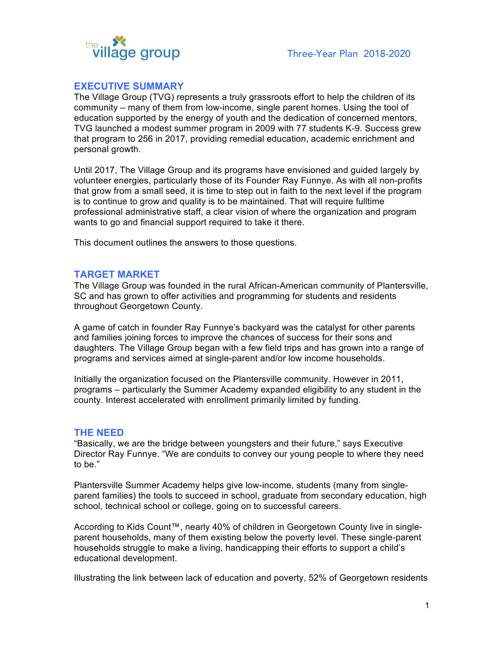

## **EXECUTIVE SUMMARY**

The Village Group (TVG) represents a truly grassroots effort to help the children of its community – many of them from low-income, single parent homes. Using the tool of education supported by the energy of youth and the dedication of concerned mentors, TVG launched a modest summer program in 2009 with 77 students K-9. Success grew that program to 256 in 2017, providing remedial education, academic enrichment and personal growth.

Until 2017, The Village Group and its programs have envisioned and guided largely by volunteer energies, particularly those of its Founder Ray Funnye. As with all non-profits that grow from a small seed, it is time to step out in faith to the next level if the program is to continue to grow and quality is to be maintained. That will require fulltime professional administrative staff, a clear vision of where the organization and program wants to go and financial support required to take it there.

This document outlines the answers to those questions.

## **TARGET MARKET**

The Village Group was founded in the rural African-American community of Plantersville, SC and has grown to offer activities and programming for students and residents throughout Georgetown County.

A game of catch in founder Ray Funnye's backyard was the catalyst for other parents and families joining forces to improve the chances of success for their sons and daughters. The Village Group began with a few field trips and has grown into a range of programs and services aimed at single-parent and/or low income households.

Initially the organization focused on the Plantersville community. However in 2011, programs – particularly the Summer Academy expanded eligibility to any student in the county. Interest accelerated with enrollment primarily limited by funding.

#### **THE NEED**

"Basically, we are the bridge between youngsters and their future," says Executive Director Ray Funnye. "We are conduits to convey our young people to where they need to be."

Plantersville Summer Academy helps give low-income, students (many from singleparent families) the tools to succeed in school, graduate from secondary education, high school, technical school or college, going on to successful careers.

According to Kids Count™, nearly 40% of children in Georgetown County live in singleparent households, many of them existing below the poverty level. These single-parent households struggle to make a living, handicapping their efforts to support a child's educational development.

Illustrating the link between lack of education and poverty, 52% of Georgetown residents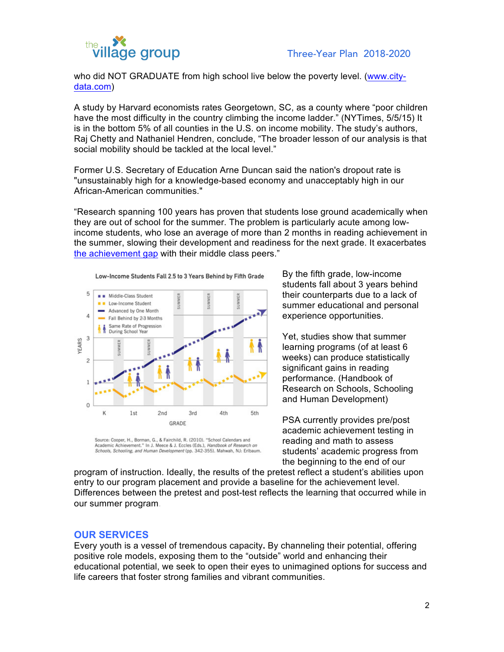

who did NOT GRADUATE from high school live below the poverty level. (www.citydata.com)

A study by Harvard economists rates Georgetown, SC, as a county where "poor children have the most difficulty in the country climbing the income ladder." (NYTimes, 5/5/15) It is in the bottom 5% of all counties in the U.S. on income mobility. The study's authors, Raj Chetty and Nathaniel Hendren, conclude, "The broader lesson of our analysis is that social mobility should be tackled at the local level."

Former U.S. Secretary of Education Arne Duncan said the nation's dropout rate is "unsustainably high for a knowledge-based economy and unacceptably high in our African-American communities."

"Research spanning 100 years has proven that students lose ground academically when they are out of school for the summer. The problem is particularly acute among lowincome students, who lose an average of more than 2 months in reading achievement in the summer, slowing their development and readiness for the next grade. It exacerbates the achievement gap with their middle class peers."



Low-Income Students Fall 2.5 to 3 Years Behind by Fifth Grade

Source: Cooper, H., Borman, G., & Fairchild, R. (2010). "School Calendars and Academic Achievement." In J. Meece & J. Eccles (Eds.), Handbook of Research on Schools, Schooling, and Human Development (pp. 342-355). Mahwah, NJ: Erlbaum. By the fifth grade, low-income students fall about 3 years behind their counterparts due to a lack of summer educational and personal experience opportunities.

Yet, studies show that summer learning programs (of at least 6 weeks) can produce statistically significant gains in reading performance. (Handbook of Research on Schools, Schooling and Human Development)

PSA currently provides pre/post academic achievement testing in reading and math to assess students' academic progress from the beginning to the end of our

program of instruction. Ideally, the results of the pretest reflect a student's abilities upon entry to our program placement and provide a baseline for the achievement level. Differences between the pretest and post-test reflects the learning that occurred while in our summer program.

## **OUR SERVICES**

Every youth is a vessel of tremendous capacity**.** By channeling their potential, offering positive role models, exposing them to the "outside" world and enhancing their educational potential, we seek to open their eyes to unimagined options for success and life careers that foster strong families and vibrant communities.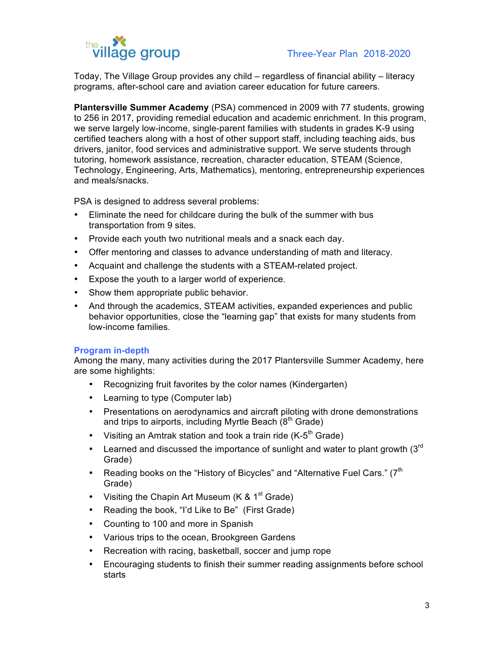

Today, The Village Group provides any child – regardless of financial ability – literacy programs, after-school care and aviation career education for future careers.

**Plantersville Summer Academy** (PSA) commenced in 2009 with 77 students, growing to 256 in 2017, providing remedial education and academic enrichment. In this program, we serve largely low-income, single-parent families with students in grades K-9 using certified teachers along with a host of other support staff, including teaching aids, bus drivers, janitor, food services and administrative support. We serve students through tutoring, homework assistance, recreation, character education, STEAM (Science, Technology, Engineering, Arts, Mathematics), mentoring, entrepreneurship experiences and meals/snacks.

PSA is designed to address several problems:

- Eliminate the need for childcare during the bulk of the summer with bus transportation from 9 sites.
- Provide each youth two nutritional meals and a snack each day.
- Offer mentoring and classes to advance understanding of math and literacy.
- Acquaint and challenge the students with a STEAM-related project.
- Expose the youth to a larger world of experience.
- Show them appropriate public behavior.
- And through the academics, STEAM activities, expanded experiences and public behavior opportunities, close the "learning gap" that exists for many students from low-income families.

#### **Program in-depth**

Among the many, many activities during the 2017 Plantersville Summer Academy, here are some highlights:

- Recognizing fruit favorites by the color names (Kindergarten)
- Learning to type (Computer lab)
- Presentations on aerodynamics and aircraft piloting with drone demonstrations and trips to airports, including Myrtle Beach  $(8<sup>th</sup>$  Grade)
- Visiting an Amtrak station and took a train ride  $(K-5<sup>th</sup> Grade)$
- Learned and discussed the importance of sunlight and water to plant growth  $(3<sup>rd</sup>$ Grade)
- Reading books on the "History of Bicycles" and "Alternative Fuel Cars."  $(7<sup>th</sup>$ Grade)
- Visiting the Chapin Art Museum (K &  $1<sup>st</sup>$  Grade)
- Reading the book, "I'd Like to Be" (First Grade)
- Counting to 100 and more in Spanish
- Various trips to the ocean, Brookgreen Gardens
- Recreation with racing, basketball, soccer and jump rope
- Encouraging students to finish their summer reading assignments before school starts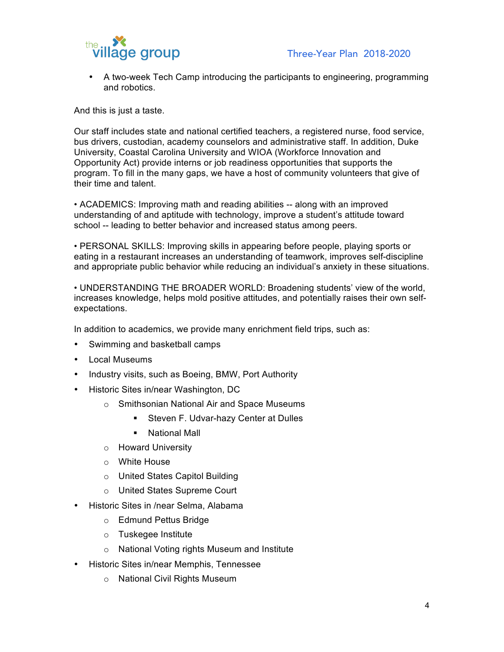

• A two-week Tech Camp introducing the participants to engineering, programming and robotics.

And this is just a taste.

Our staff includes state and national certified teachers, a registered nurse, food service, bus drivers, custodian, academy counselors and administrative staff. In addition, Duke University, Coastal Carolina University and WIOA (Workforce Innovation and Opportunity Act) provide interns or job readiness opportunities that supports the program. To fill in the many gaps, we have a host of community volunteers that give of their time and talent.

• ACADEMICS: Improving math and reading abilities -- along with an improved understanding of and aptitude with technology, improve a student's attitude toward school -- leading to better behavior and increased status among peers.

• PERSONAL SKILLS: Improving skills in appearing before people, playing sports or eating in a restaurant increases an understanding of teamwork, improves self-discipline and appropriate public behavior while reducing an individual's anxiety in these situations.

• UNDERSTANDING THE BROADER WORLD: Broadening students' view of the world, increases knowledge, helps mold positive attitudes, and potentially raises their own selfexpectations.

In addition to academics, we provide many enrichment field trips, such as:

- Swimming and basketball camps
- Local Museums
- Industry visits, such as Boeing, BMW, Port Authority
- Historic Sites in/near Washington, DC
	- o Smithsonian National Air and Space Museums
		- Steven F. Udvar-hazy Center at Dulles
		- § National Mall
	- o Howard University
	- o White House
	- o United States Capitol Building
	- o United States Supreme Court
- Historic Sites in /near Selma, Alabama
	- o Edmund Pettus Bridge
	- o Tuskegee Institute
	- o National Voting rights Museum and Institute
- Historic Sites in/near Memphis, Tennessee
	- o National Civil Rights Museum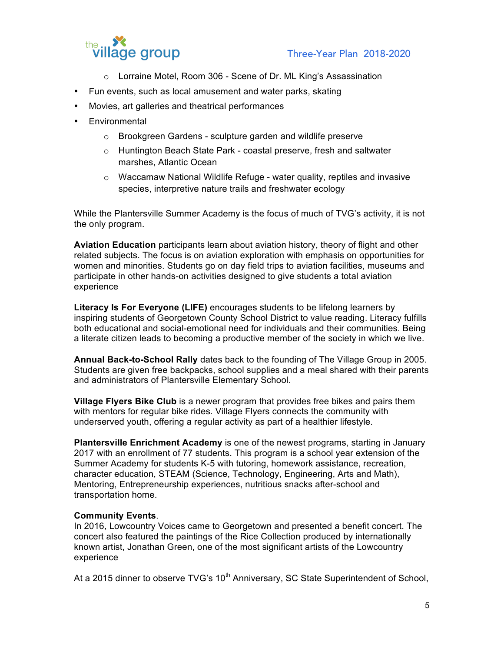

- o Lorraine Motel, Room 306 Scene of Dr. ML King's Assassination
- Fun events, such as local amusement and water parks, skating
- Movies, art galleries and theatrical performances
- Environmental
	- o Brookgreen Gardens sculpture garden and wildlife preserve
	- o Huntington Beach State Park coastal preserve, fresh and saltwater marshes, Atlantic Ocean
	- o Waccamaw National Wildlife Refuge water quality, reptiles and invasive species, interpretive nature trails and freshwater ecology

While the Plantersville Summer Academy is the focus of much of TVG's activity, it is not the only program.

**Aviation Education** participants learn about aviation history, theory of flight and other related subjects. The focus is on aviation exploration with emphasis on opportunities for women and minorities. Students go on day field trips to aviation facilities, museums and participate in other hands-on activities designed to give students a total aviation experience

**Literacy Is For Everyone (LIFE)** encourages students to be lifelong learners by inspiring students of Georgetown County School District to value reading. Literacy fulfills both educational and social-emotional need for individuals and their communities. Being a literate citizen leads to becoming a productive member of the society in which we live.

**Annual Back-to-School Rally** dates back to the founding of The Village Group in 2005. Students are given free backpacks, school supplies and a meal shared with their parents and administrators of Plantersville Elementary School.

**Village Flyers Bike Club** is a newer program that provides free bikes and pairs them with mentors for regular bike rides. Village Flyers connects the community with underserved youth, offering a regular activity as part of a healthier lifestyle.

**Plantersville Enrichment Academy** is one of the newest programs, starting in January 2017 with an enrollment of 77 students. This program is a school year extension of the Summer Academy for students K-5 with tutoring, homework assistance, recreation, character education, STEAM (Science, Technology, Engineering, Arts and Math), Mentoring, Entrepreneurship experiences, nutritious snacks after-school and transportation home.

## **Community Events**.

In 2016, Lowcountry Voices came to Georgetown and presented a benefit concert. The concert also featured the paintings of the Rice Collection produced by internationally known artist, Jonathan Green, one of the most significant artists of the Lowcountry experience

At a 2015 dinner to observe TVG's 10<sup>th</sup> Anniversary, SC State Superintendent of School,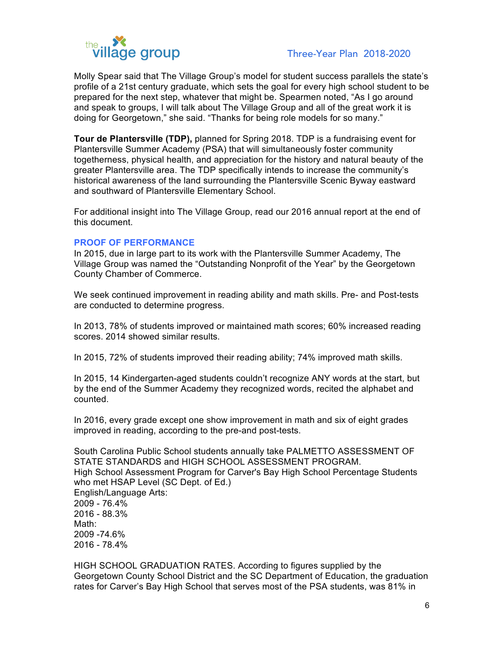

Molly Spear said that The Village Group's model for student success parallels the state's profile of a 21st century graduate, which sets the goal for every high school student to be prepared for the next step, whatever that might be. Spearmen noted, "As I go around and speak to groups, I will talk about The Village Group and all of the great work it is doing for Georgetown," she said. "Thanks for being role models for so many."

**Tour de Plantersville (TDP),** planned for Spring 2018. TDP is a fundraising event for Plantersville Summer Academy (PSA) that will simultaneously foster community togetherness, physical health, and appreciation for the history and natural beauty of the greater Plantersville area. The TDP specifically intends to increase the community's historical awareness of the land surrounding the Plantersville Scenic Byway eastward and southward of Plantersville Elementary School.

For additional insight into The Village Group, read our 2016 annual report at the end of this document.

## **PROOF OF PERFORMANCE**

In 2015, due in large part to its work with the Plantersville Summer Academy, The Village Group was named the "Outstanding Nonprofit of the Year" by the Georgetown County Chamber of Commerce.

We seek continued improvement in reading ability and math skills. Pre- and Post-tests are conducted to determine progress.

In 2013, 78% of students improved or maintained math scores; 60% increased reading scores. 2014 showed similar results.

In 2015, 72% of students improved their reading ability; 74% improved math skills.

In 2015, 14 Kindergarten-aged students couldn't recognize ANY words at the start, but by the end of the Summer Academy they recognized words, recited the alphabet and counted.

In 2016, every grade except one show improvement in math and six of eight grades improved in reading, according to the pre-and post-tests.

South Carolina Public School students annually take PALMETTO ASSESSMENT OF STATE STANDARDS and HIGH SCHOOL ASSESSMENT PROGRAM. High School Assessment Program for Carver's Bay High School Percentage Students who met HSAP Level (SC Dept. of Ed.) English/Language Arts: 2009 - 76.4% 2016 - 88.3% Math: 2009 -74.6% 2016 - 78.4%

HIGH SCHOOL GRADUATION RATES. According to figures supplied by the Georgetown County School District and the SC Department of Education, the graduation rates for Carver's Bay High School that serves most of the PSA students, was 81% in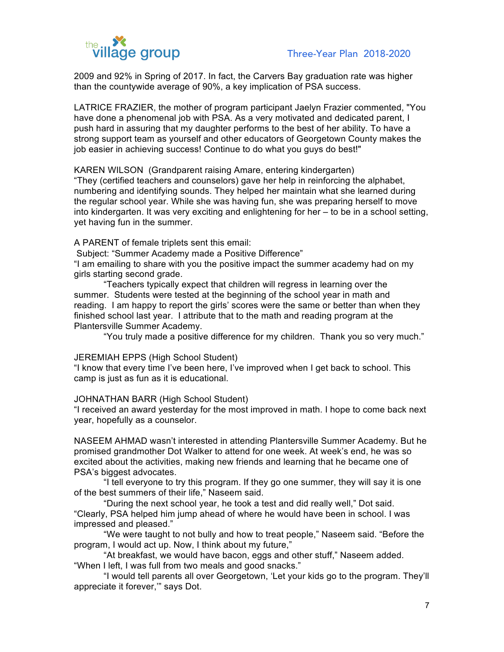

2009 and 92% in Spring of 2017. In fact, the Carvers Bay graduation rate was higher than the countywide average of 90%, a key implication of PSA success.

LATRICE FRAZIER, the mother of program participant Jaelyn Frazier commented, "You have done a phenomenal job with PSA. As a very motivated and dedicated parent, I push hard in assuring that my daughter performs to the best of her ability. To have a strong support team as yourself and other educators of Georgetown County makes the job easier in achieving success! Continue to do what you guys do best!"

KAREN WILSON (Grandparent raising Amare, entering kindergarten)

"They (certified teachers and counselors) gave her help in reinforcing the alphabet, numbering and identifying sounds. They helped her maintain what she learned during the regular school year. While she was having fun, she was preparing herself to move into kindergarten. It was very exciting and enlightening for her – to be in a school setting, yet having fun in the summer.

A PARENT of female triplets sent this email:

Subject: "Summer Academy made a Positive Difference"

"I am emailing to share with you the positive impact the summer academy had on my girls starting second grade.

"Teachers typically expect that children will regress in learning over the summer. Students were tested at the beginning of the school year in math and reading. I am happy to report the girls' scores were the same or better than when they finished school last year. I attribute that to the math and reading program at the Plantersville Summer Academy.

"You truly made a positive difference for my children. Thank you so very much."

#### JEREMIAH EPPS (High School Student)

"I know that every time I've been here, I've improved when I get back to school. This camp is just as fun as it is educational.

#### JOHNATHAN BARR (High School Student)

"I received an award yesterday for the most improved in math. I hope to come back next year, hopefully as a counselor.

NASEEM AHMAD wasn't interested in attending Plantersville Summer Academy. But he promised grandmother Dot Walker to attend for one week. At week's end, he was so excited about the activities, making new friends and learning that he became one of PSA's biggest advocates.

"I tell everyone to try this program. If they go one summer, they will say it is one of the best summers of their life," Naseem said.

"During the next school year, he took a test and did really well," Dot said. "Clearly, PSA helped him jump ahead of where he would have been in school. I was impressed and pleased."

"We were taught to not bully and how to treat people," Naseem said. "Before the program, I would act up. Now, I think about my future,"

"At breakfast, we would have bacon, eggs and other stuff," Naseem added. "When I left, I was full from two meals and good snacks."

"I would tell parents all over Georgetown, 'Let your kids go to the program. They'll appreciate it forever,'" says Dot.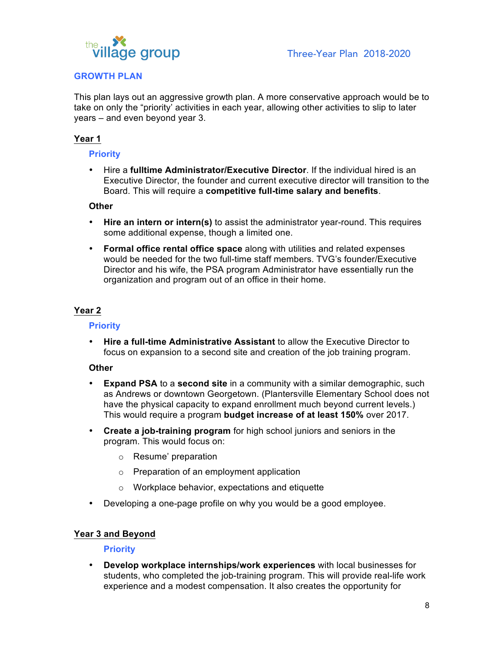

## **GROWTH PLAN**

This plan lays out an aggressive growth plan. A more conservative approach would be to take on only the "priority' activities in each year, allowing other activities to slip to later years – and even beyond year 3.

## **Year 1**

## **Priority**

• Hire a **fulltime Administrator/Executive Director**. If the individual hired is an Executive Director, the founder and current executive director will transition to the Board. This will require a **competitive full-time salary and benefits**.

### **Other**

- **Hire an intern or intern(s)** to assist the administrator year-round. This requires some additional expense, though a limited one.
- **Formal office rental office space** along with utilities and related expenses would be needed for the two full-time staff members. TVG's founder/Executive Director and his wife, the PSA program Administrator have essentially run the organization and program out of an office in their home.

## **Year 2**

### **Priority**

• **Hire a full-time Administrative Assistant** to allow the Executive Director to focus on expansion to a second site and creation of the job training program.

## **Other**

- **Expand PSA** to a **second site** in a community with a similar demographic, such as Andrews or downtown Georgetown. (Plantersville Elementary School does not have the physical capacity to expand enrollment much beyond current levels.) This would require a program **budget increase of at least 150%** over 2017.
- **Create a job-training program** for high school juniors and seniors in the program. This would focus on:
	- o Resume' preparation
	- o Preparation of an employment application
	- o Workplace behavior, expectations and etiquette
- Developing a one-page profile on why you would be a good employee.

## **Year 3 and Beyond**

## **Priority**

• **Develop workplace internships/work experiences** with local businesses for students, who completed the job-training program. This will provide real-life work experience and a modest compensation. It also creates the opportunity for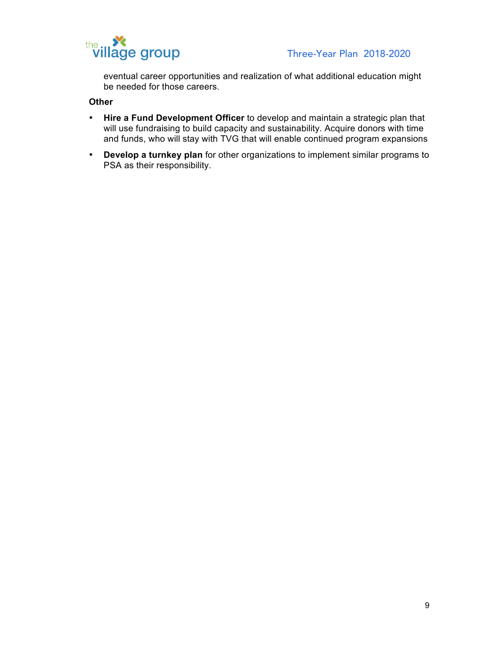

eventual career opportunities and realization of what additional education might be needed for those careers.

# **Other**

- **Hire a Fund Development Officer** to develop and maintain a strategic plan that will use fundraising to build capacity and sustainability. Acquire donors with time and funds, who will stay with TVG that will enable continued program expansions
- **Develop a turnkey plan** for other organizations to implement similar programs to PSA as their responsibility.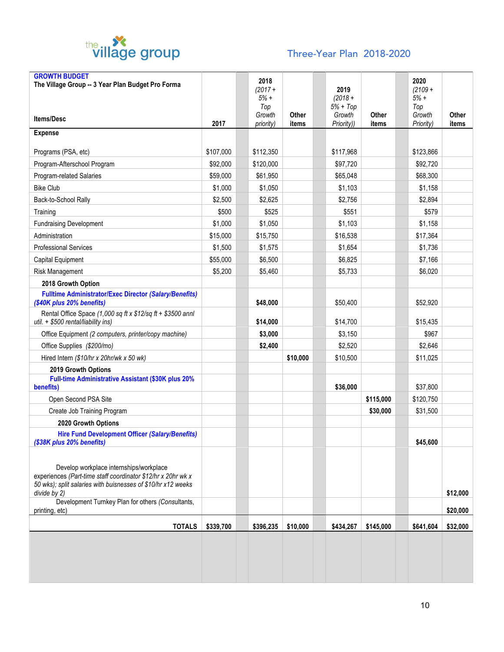

# Three-Year Plan 2018-2020

| <b>GROWTH BUDGET</b><br>The Village Group -- 3 Year Plan Budget Pro Forma                                                                                                                                                                    |           | 2018                                 |          |                                           |           | 2020                                 |          |
|----------------------------------------------------------------------------------------------------------------------------------------------------------------------------------------------------------------------------------------------|-----------|--------------------------------------|----------|-------------------------------------------|-----------|--------------------------------------|----------|
| <b>Items/Desc</b>                                                                                                                                                                                                                            |           | $(2017 +$<br>$5% +$<br>Top<br>Growth | Other    | 2019<br>$(2018 +$<br>$5% + Top$<br>Growth | Other     | $(2109 +$<br>$5% +$<br>Top<br>Growth | Other    |
| <b>Expense</b>                                                                                                                                                                                                                               | 2017      | priority)                            | items    | Priority))                                | items     | Priority)                            | items    |
|                                                                                                                                                                                                                                              |           |                                      |          |                                           |           |                                      |          |
| Programs (PSA, etc)                                                                                                                                                                                                                          | \$107,000 | \$112,350                            |          | \$117,968                                 |           | \$123,866                            |          |
| Program-Afterschool Program                                                                                                                                                                                                                  | \$92,000  | \$120,000                            |          | \$97,720                                  |           | \$92,720                             |          |
| Program-related Salaries                                                                                                                                                                                                                     | \$59,000  | \$61,950                             |          | \$65,048                                  |           | \$68,300                             |          |
| <b>Bike Club</b>                                                                                                                                                                                                                             | \$1,000   | \$1,050                              |          | \$1,103                                   |           | \$1,158                              |          |
| Back-to-School Rally                                                                                                                                                                                                                         | \$2,500   | \$2,625                              |          | \$2,756                                   |           | \$2,894                              |          |
| Training                                                                                                                                                                                                                                     | \$500     | \$525                                |          | \$551                                     |           | \$579                                |          |
| <b>Fundraising Development</b>                                                                                                                                                                                                               | \$1,000   | \$1,050                              |          | \$1,103                                   |           | \$1,158                              |          |
| Administration                                                                                                                                                                                                                               | \$15,000  | \$15,750                             |          | \$16,538                                  |           | \$17,364                             |          |
| <b>Professional Services</b>                                                                                                                                                                                                                 | \$1,500   | \$1,575                              |          | \$1,654                                   |           | \$1,736                              |          |
| Capital Equipment                                                                                                                                                                                                                            | \$55,000  | \$6,500                              |          | \$6,825                                   |           | \$7,166                              |          |
| Risk Management                                                                                                                                                                                                                              | \$5,200   | \$5,460                              |          | \$5,733                                   |           | \$6,020                              |          |
| 2018 Growth Option                                                                                                                                                                                                                           |           |                                      |          |                                           |           |                                      |          |
| <b>Fulltime Administrator/Exec Director (Salary/Benefits)</b><br>(\$40K plus 20% benefits)                                                                                                                                                   |           | \$48,000                             |          | \$50,400                                  |           | \$52,920                             |          |
| Rental Office Space (1,000 sq ft x $$12$ /sq ft + \$3500 annl<br>util. + \$500 rental/liability ins)                                                                                                                                         |           | \$14,000                             |          | \$14,700                                  |           | \$15,435                             |          |
| Office Equipment (2 computers, printer/copy machine)                                                                                                                                                                                         |           | \$3,000                              |          | \$3,150                                   |           | \$967                                |          |
| Office Supplies (\$200/mo)                                                                                                                                                                                                                   |           | \$2,400                              |          | \$2,520                                   |           | \$2,646                              |          |
| Hired Intern (\$10/hr x 20hr/wk x 50 wk)                                                                                                                                                                                                     |           |                                      | \$10,000 | \$10,500                                  |           | \$11,025                             |          |
| 2019 Growth Options                                                                                                                                                                                                                          |           |                                      |          |                                           |           |                                      |          |
| Full-time Administrative Assistant (\$30K plus 20%<br>benefits)                                                                                                                                                                              |           |                                      |          | \$36,000                                  |           | \$37,800                             |          |
| Open Second PSA Site                                                                                                                                                                                                                         |           |                                      |          |                                           | \$115,000 | \$120,750                            |          |
| Create Job Training Program                                                                                                                                                                                                                  |           |                                      |          |                                           | \$30,000  | \$31,500                             |          |
| 2020 Growth Options                                                                                                                                                                                                                          |           |                                      |          |                                           |           |                                      |          |
| <b>Hire Fund Development Officer (Salary/Benefits)</b><br>(\$38K plus 20% benefits)                                                                                                                                                          |           |                                      |          |                                           |           | \$45,600                             |          |
| Develop workplace internships/workplace<br>experiences (Part-time staff coordinator \$12/hr x 20hr wk x<br>50 wks); split salaries with buisnesses of \$10/hr x12 weeks<br>divide by 2)<br>Development Turnkey Plan for others (Consultants, |           |                                      |          |                                           |           |                                      | \$12,000 |
| printing, etc)                                                                                                                                                                                                                               |           |                                      |          |                                           |           |                                      | \$20,000 |
| <b>TOTALS</b>                                                                                                                                                                                                                                | \$339,700 | \$396,235                            | \$10,000 | \$434,267                                 | \$145,000 | \$641,604                            | \$32,000 |
|                                                                                                                                                                                                                                              |           |                                      |          |                                           |           |                                      |          |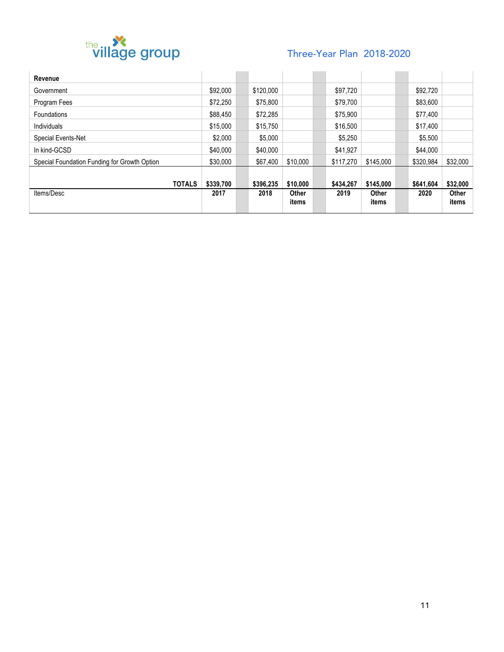

# Three-Year Plan 2018-2020

| Revenue                                      |           |           |          |           |           |           |              |
|----------------------------------------------|-----------|-----------|----------|-----------|-----------|-----------|--------------|
| Government                                   | \$92,000  | \$120,000 |          | \$97,720  |           | \$92.720  |              |
| Program Fees                                 | \$72.250  | \$75,800  |          | \$79.700  |           | \$83,600  |              |
| Foundations                                  | \$88,450  | \$72,285  |          | \$75,900  |           | \$77,400  |              |
| Individuals                                  | \$15,000  | \$15,750  |          | \$16,500  |           | \$17,400  |              |
| Special Events-Net                           | \$2,000   | \$5,000   |          | \$5,250   |           | \$5,500   |              |
| In kind-GCSD                                 | \$40,000  | \$40,000  |          | \$41.927  |           | \$44,000  |              |
| Special Foundation Funding for Growth Option | \$30,000  | \$67,400  | \$10,000 | \$117.270 | \$145,000 | \$320.984 | \$32,000     |
|                                              |           |           |          |           |           |           |              |
| <b>TOTALS</b>                                | \$339,700 | \$396,235 | \$10,000 | \$434.267 | \$145,000 | \$641,604 | \$32,000     |
| Items/Desc                                   | 2017      | 2018      | Other    | 2019      | Other     | 2020      | <b>Other</b> |
|                                              |           |           | items    |           | items     |           | items        |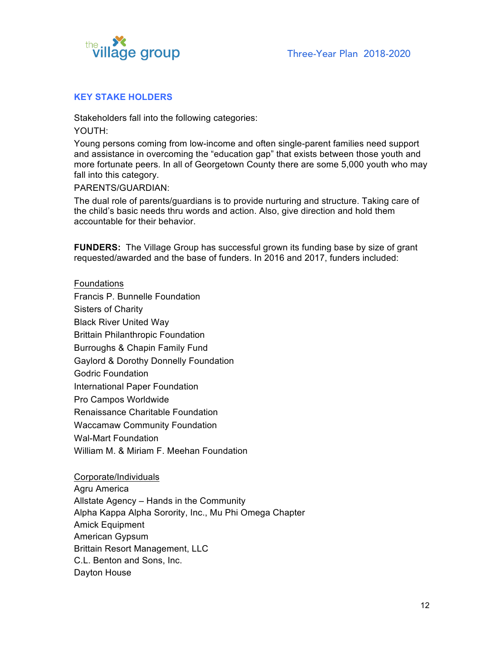

## **KEY STAKE HOLDERS**

Stakeholders fall into the following categories:

YOUTH:

Young persons coming from low-income and often single-parent families need support and assistance in overcoming the "education gap" that exists between those youth and more fortunate peers. In all of Georgetown County there are some 5,000 youth who may fall into this category.

PARENTS/GUARDIAN:

The dual role of parents/guardians is to provide nurturing and structure. Taking care of the child's basic needs thru words and action. Also, give direction and hold them accountable for their behavior.

**FUNDERS:** The Village Group has successful grown its funding base by size of grant requested/awarded and the base of funders. In 2016 and 2017, funders included:

### Foundations

Francis P. Bunnelle Foundation Sisters of Charity Black River United Way Brittain Philanthropic Foundation Burroughs & Chapin Family Fund Gaylord & Dorothy Donnelly Foundation Godric Foundation International Paper Foundation Pro Campos Worldwide Renaissance Charitable Foundation Waccamaw Community Foundation Wal-Mart Foundation William M. & Miriam F. Meehan Foundation

Corporate/Individuals Agru America Allstate Agency – Hands in the Community Alpha Kappa Alpha Sorority, Inc., Mu Phi Omega Chapter Amick Equipment American Gypsum Brittain Resort Management, LLC C.L. Benton and Sons, Inc. Dayton House